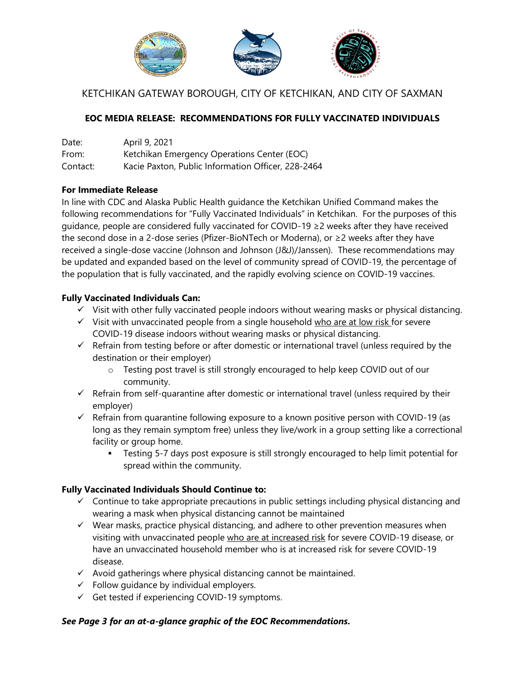

## KETCHIKAN GATEWAY BOROUGH, CITY OF KETCHIKAN, AND CITY OF SAXMAN

## **EOC MEDIA RELEASE: RECOMMENDATIONS FOR FULLY VACCINATED INDIVIDUALS**

| Date:    | April 9, 2021                                      |
|----------|----------------------------------------------------|
| From:    | Ketchikan Emergency Operations Center (EOC)        |
| Contact: | Kacie Paxton, Public Information Officer, 228-2464 |

#### **For Immediate Release**

In line with CDC and Alaska Public Health guidance the Ketchikan Unified Command makes the following recommendations for "Fully Vaccinated Individuals" in Ketchikan. For the purposes of this guidance, people are considered fully vaccinated for COVID-19 ≥2 weeks after they have received the second dose in a 2-dose series (Pfizer-BioNTech or Moderna), or ≥2 weeks after they have received a single-dose vaccine (Johnson and Johnson (J&J)/Janssen). These recommendations may be updated and expanded based on the level of community spread of COVID-19, the percentage of the population that is fully vaccinated, and the rapidly evolving science on COVID-19 vaccines.

#### **Fully Vaccinated Individuals Can:**

- $\checkmark$  Visit with other fully vaccinated people indoors without wearing masks or physical distancing.
- $\checkmark$  Visit with unvaccinated people from a single household who are at low risk for severe COVID-19 disease indoors without wearing masks or physical distancing.
- $\checkmark$  Refrain from testing before or after domestic or international travel (unless required by the destination or their employer)
	- o Testing post travel is still strongly encouraged to help keep COVID out of our community.
- $\checkmark$  Refrain from self-quarantine after domestic or international travel (unless required by their employer)
- $\checkmark$  Refrain from quarantine following exposure to a known positive person with COVID-19 (as long as they remain symptom free) unless they live/work in a group setting like a correctional facility or group home.
	- Testing 5-7 days post exposure is still strongly encouraged to help limit potential for spread within the community.

### **Fully Vaccinated Individuals Should Continue to:**

- $\checkmark$  Continue to take appropriate precautions in public settings including physical distancing and wearing a mask when physical distancing cannot be maintained
- $\checkmark$  Wear masks, practice physical distancing, and adhere to other prevention measures when visiting with unvaccinated people who are at increased risk for severe COVID-19 disease, or have an unvaccinated household member who is at increased risk for severe COVID-19 disease.
- $\checkmark$  Avoid gatherings where physical distancing cannot be maintained.
- $\checkmark$  Follow guidance by individual employers.
- $\checkmark$  Get tested if experiencing COVID-19 symptoms.

#### *See Page 3 for an at-a-glance graphic of the EOC Recommendations.*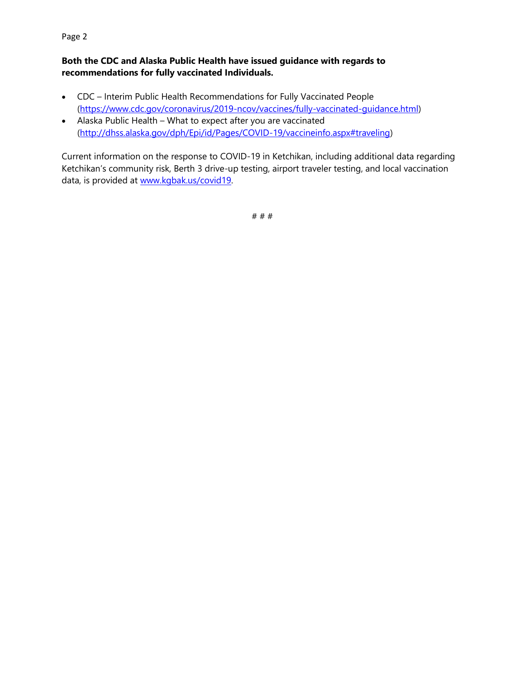## **Both the CDC and Alaska Public Health have issued guidance with regards to recommendations for fully vaccinated Individuals.**

- CDC Interim Public Health Recommendations for Fully Vaccinated People [\(https://www.cdc.gov/coronavirus/2019-ncov/vaccines/fully-vaccinated-guidance.html\)](https://urldefense.com/v3/__https:/www.cdc.gov/coronavirus/2019-ncov/vaccines/fully-vaccinated-guidance.html__;!!J2_8gdp6gZQ!4si55Xr0DRNCvPOWoIyYI3R92IViVATcuT3la6hHLiJc8AMRGsH8GXAI4IJV1MpxszteFQ%24)
- Alaska Public Health What to expect after you are vaccinated [\(http://dhss.alaska.gov/dph/Epi/id/Pages/COVID-19/vaccineinfo.aspx#traveling\)](http://dhss.alaska.gov/dph/Epi/id/Pages/COVID-19/vaccineinfo.aspx#traveling)

Current information on the response to COVID-19 in Ketchikan, including additional data regarding Ketchikan's community risk, Berth 3 drive-up testing, airport traveler testing, and local vaccination data, is provided at www.kgbak.us/covid19.

# # #

#### Page 2